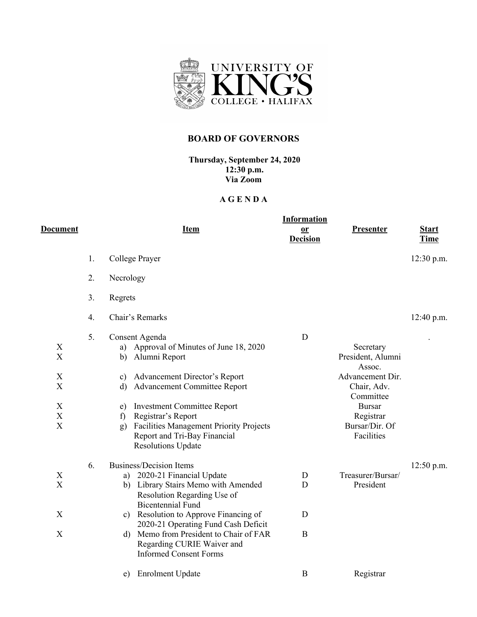

## **BOARD OF GOVERNORS**

**Thursday, September 24, 2020 12:30 p.m. Via Zoom**

## **A G E N D A**

|                                                                             |    | <b>Information</b>                                                                                                                                                                                                                                                                                                                                                        |                  |                                                                                                                                                        |              |  |  |  |  |
|-----------------------------------------------------------------------------|----|---------------------------------------------------------------------------------------------------------------------------------------------------------------------------------------------------------------------------------------------------------------------------------------------------------------------------------------------------------------------------|------------------|--------------------------------------------------------------------------------------------------------------------------------------------------------|--------------|--|--|--|--|
| D <u>ocument</u>                                                            |    | <b>Item</b>                                                                                                                                                                                                                                                                                                                                                               | 0r               | <b>Presenter</b>                                                                                                                                       | <b>Start</b> |  |  |  |  |
|                                                                             |    |                                                                                                                                                                                                                                                                                                                                                                           | <b>Decision</b>  |                                                                                                                                                        | <b>Time</b>  |  |  |  |  |
|                                                                             | 1. | College Prayer                                                                                                                                                                                                                                                                                                                                                            |                  |                                                                                                                                                        | $12:30$ p.m. |  |  |  |  |
|                                                                             | 2. | Necrology                                                                                                                                                                                                                                                                                                                                                                 |                  |                                                                                                                                                        |              |  |  |  |  |
|                                                                             | 3. | Regrets                                                                                                                                                                                                                                                                                                                                                                   |                  |                                                                                                                                                        |              |  |  |  |  |
|                                                                             | 4. | Chair's Remarks                                                                                                                                                                                                                                                                                                                                                           |                  |                                                                                                                                                        | 12:40 p.m.   |  |  |  |  |
| X<br>X<br>$\mathbf X$<br>X<br>X<br>$\mathbf X$<br>$\boldsymbol{\mathrm{X}}$ | 5. | Consent Agenda<br>Approval of Minutes of June 18, 2020<br>a)<br>Alumni Report<br>b)<br>Advancement Director's Report<br>c)<br><b>Advancement Committee Report</b><br>$\rm d$<br><b>Investment Committee Report</b><br>e)<br>Registrar's Report<br>f)<br><b>Facilities Management Priority Projects</b><br>g)<br>Report and Tri-Bay Financial<br><b>Resolutions Update</b> | D                | Secretary<br>President, Alumni<br>Assoc.<br>Advancement Dir.<br>Chair, Adv.<br>Committee<br><b>Bursar</b><br>Registrar<br>Bursar/Dir. Of<br>Facilities |              |  |  |  |  |
| X<br>$\boldsymbol{\mathrm{X}}$<br>X<br>$\boldsymbol{\mathrm{X}}$            | 6. | <b>Business/Decision Items</b><br>a) 2020-21 Financial Update<br>b) Library Stairs Memo with Amended<br>Resolution Regarding Use of<br><b>Bicentennial Fund</b><br>c) Resolution to Approve Financing of<br>2020-21 Operating Fund Cash Deficit<br>d) Memo from President to Chair of FAR<br>Regarding CURIE Waiver and<br><b>Informed Consent Forms</b>                  | D<br>D<br>D<br>B | Treasurer/Bursar/<br>President                                                                                                                         | $12:50$ p.m. |  |  |  |  |
|                                                                             |    | <b>Enrolment Update</b><br>e)                                                                                                                                                                                                                                                                                                                                             | B                | Registrar                                                                                                                                              |              |  |  |  |  |